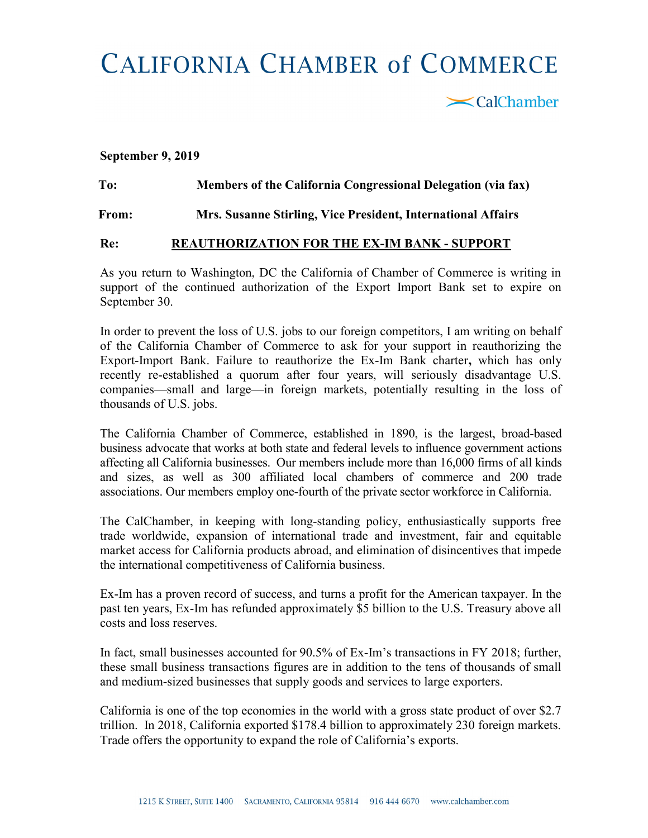## **CALIFORNIA CHAMBER of COMMERCE**

 $\mathbf{\le}$ CalChamber

## September 9, 2019

## To: Members of the California Congressional Delegation (via fax) From: Mrs. Susanne Stirling, Vice President, International Affairs

## Re: REAUTHORIZATION FOR THE EX-IM BANK - SUPPORT

As you return to Washington, DC the California of Chamber of Commerce is writing in support of the continued authorization of the Export Import Bank set to expire on September 30.

In order to prevent the loss of U.S. jobs to our foreign competitors, I am writing on behalf of the California Chamber of Commerce to ask for your support in reauthorizing the Export-Import Bank. Failure to reauthorize the Ex-Im Bank charter, which has only recently re-established a quorum after four years, will seriously disadvantage U.S. companies—small and large—in foreign markets, potentially resulting in the loss of thousands of U.S. jobs.

The California Chamber of Commerce, established in 1890, is the largest, broad-based business advocate that works at both state and federal levels to influence government actions affecting all California businesses. Our members include more than 16,000 firms of all kinds and sizes, as well as 300 affiliated local chambers of commerce and 200 trade associations. Our members employ one-fourth of the private sector workforce in California.

The CalChamber, in keeping with long-standing policy, enthusiastically supports free trade worldwide, expansion of international trade and investment, fair and equitable market access for California products abroad, and elimination of disincentives that impede the international competitiveness of California business.

Ex-Im has a proven record of success, and turns a profit for the American taxpayer. In the past ten years, Ex-Im has refunded approximately \$5 billion to the U.S. Treasury above all costs and loss reserves.

In fact, small businesses accounted for 90.5% of Ex-Im's transactions in FY 2018; further, these small business transactions figures are in addition to the tens of thousands of small and medium-sized businesses that supply goods and services to large exporters.

California is one of the top economies in the world with a gross state product of over \$2.7 trillion. In 2018, California exported \$178.4 billion to approximately 230 foreign markets. Trade offers the opportunity to expand the role of California's exports.